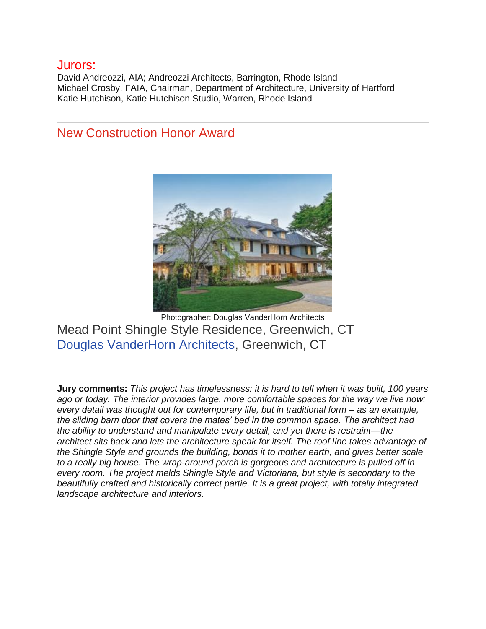#### Jurors:

David Andreozzi, AIA; Andreozzi Architects, Barrington, Rhode Island Michael Crosby, FAIA, Chairman, Department of Architecture, University of Hartford Katie Hutchison, Katie Hutchison Studio, Warren, Rhode Island

### New Construction Honor Award



Photographer: Douglas VanderHorn Architects Mead Point Shingle Style Residence, Greenwich, CT [Douglas VanderHorn Architects,](http://vanderhornarchitects.com/) Greenwich, CT

**Jury comments:** *This project has timelessness: it is hard to tell when it was built, 100 years ago or today. The interior provides large, more comfortable spaces for the way we live now: every detail was thought out for contemporary life, but in traditional form – as an example, the sliding barn door that covers the mates' bed in the common space. The architect had the ability to understand and manipulate every detail, and yet there is restraint—the architect sits back and lets the architecture speak for itself. The roof line takes advantage of the Shingle Style and grounds the building, bonds it to mother earth, and gives better scale to a really big house. The wrap-around porch is gorgeous and architecture is pulled off in every room. The project melds Shingle Style and Victoriana, but style is secondary to the beautifully crafted and historically correct partie. It is a great project, with totally integrated landscape architecture and interiors.*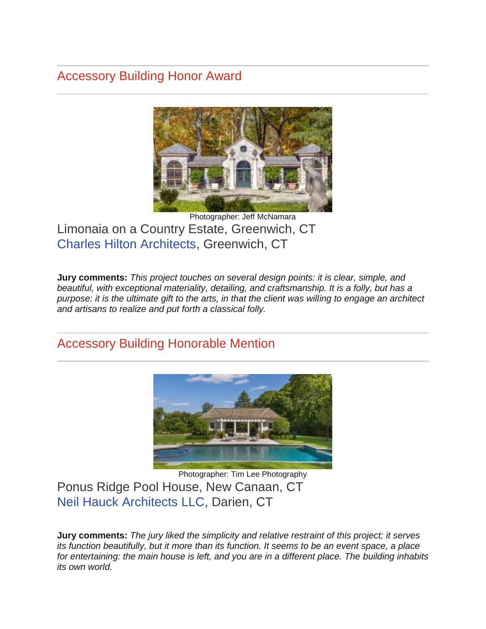# Accessory Building Honor Award



Photographer: Jeff McNamara Limonaia on a Country Estate, Greenwich, CT [Charles Hilton Architects,](http://www.hiltonarchitects.com/) Greenwich, CT

**Jury comments:** *This project touches on several design points: it is clear, simple, and beautiful, with exceptional materiality, detailing, and craftsmanship. It is a folly, but has a purpose: it is the ultimate gift to the arts, in that the client was willing to engage an architect and artisans to realize and put forth a classical folly.*

## Accessory Building Honorable Mention



Photographer: Tim Lee Photography Ponus Ridge Pool House, New Canaan, CT [Neil Hauck Architects LLC,](http://www.neilhauckarchitects.com/) Darien, CT

**Jury comments:** *The jury liked the simplicity and relative restraint of this project; it serves its function beautifully, but it more than its function. It seems to be an event space, a place for entertaining: the main house is left, and you are in a different place. The building inhabits its own world.*